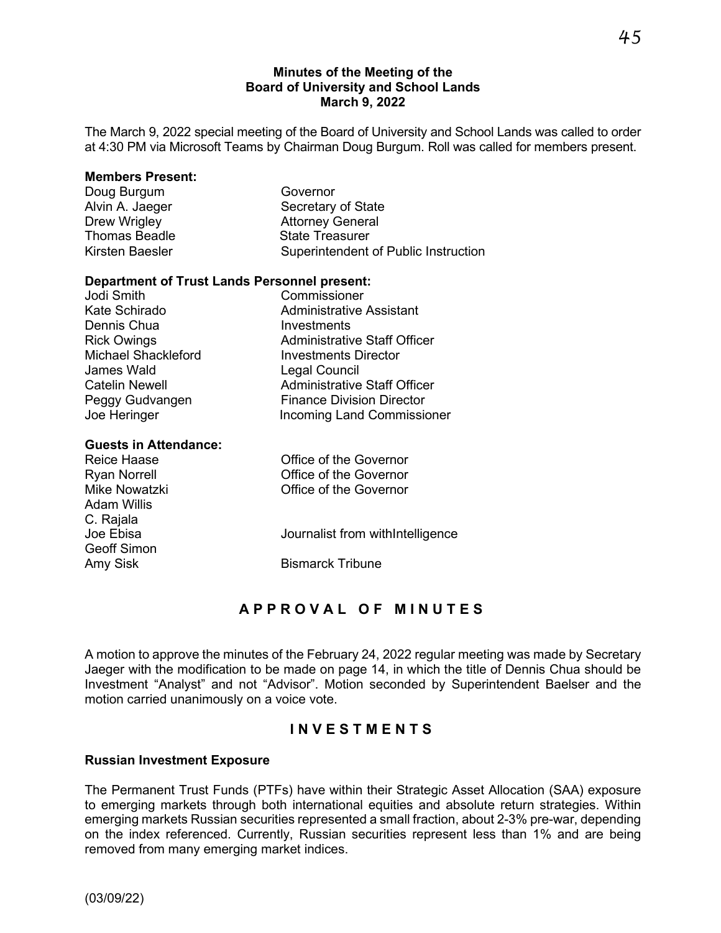### **Minutes of the Meeting of the Board of University and School Lands March 9, 2022**

The March 9, 2022 special meeting of the Board of University and School Lands was called to order at 4:30 PM via Microsoft Teams by Chairman Doug Burgum. Roll was called for members present.

| Governor                             |
|--------------------------------------|
| Secretary of State                   |
| <b>Attorney General</b>              |
| <b>State Treasurer</b>               |
| Superintendent of Public Instruction |
|                                      |

### **Department of Trust Lands Personnel present:**

| Jodi Smith                 | Commissioner                        |
|----------------------------|-------------------------------------|
| Kate Schirado              | <b>Administrative Assistant</b>     |
| Dennis Chua                | Investments                         |
| <b>Rick Owings</b>         | <b>Administrative Staff Officer</b> |
| <b>Michael Shackleford</b> | <b>Investments Director</b>         |
| James Wald                 | <b>Legal Council</b>                |
| <b>Catelin Newell</b>      | <b>Administrative Staff Officer</b> |
| Peggy Gudvangen            | <b>Finance Division Director</b>    |
| Joe Heringer               | <b>Incoming Land Commissioner</b>   |
|                            |                                     |

### **Guests in Attendance:**

| <b>Reice Haase</b>  | Office of the Governor           |
|---------------------|----------------------------------|
| <b>Ryan Norrell</b> | Office of the Governor           |
| Mike Nowatzki       | Office of the Governor           |
| Adam Willis         |                                  |
| C. Rajala           |                                  |
| Joe Ebisa           | Journalist from withIntelligence |
| <b>Geoff Simon</b>  |                                  |
| Amy Sisk            | <b>Bismarck Tribune</b>          |

# **APPROVAL OF MINUTES**

A motion to approve the minutes of the February 24, 2022 regular meeting was made by Secretary Jaeger with the modification to be made on page 14, in which the title of Dennis Chua should be Investment "Analyst" and not "Advisor". Motion seconded by Superintendent Baelser and the motion carried unanimously on a voice vote.

## **INVEST MENT S**

### **Russian Investment Exposure**

The Permanent Trust Funds (PTFs) have within their Strategic Asset Allocation (SAA) exposure to emerging markets through both international equities and absolute return strategies. Within emerging markets Russian securities represented a small fraction, about 2-3% pre-war, depending on the index referenced. Currently, Russian securities represent less than 1% and are being removed from many emerging market indices.